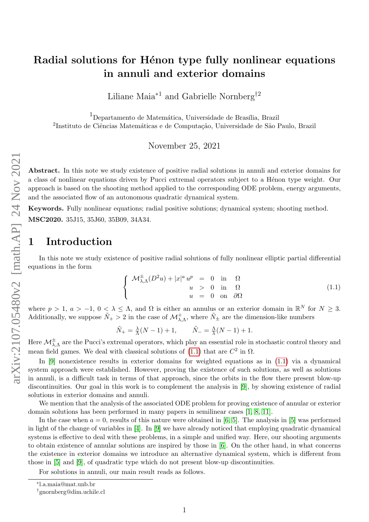# Radial solutions for Hénon type fully nonlinear equations in annuli and exterior domains

Liliane Maia<sup>∗1</sup> and Gabrielle Nornberg<sup>†2</sup>

<sup>1</sup>Departamento de Matemática, Universidade de Brasília, Brazil  $^{2}$ Instituto de Ciências Matemáticas e de Computação, Universidade de São Paulo, Brazil

November 25, 2021

Abstract. In this note we study existence of positive radial solutions in annuli and exterior domains for a class of nonlinear equations driven by Pucci extremal operators subject to a Hénon type weight. Our approach is based on the shooting method applied to the corresponding ODE problem, energy arguments, and the associated flow of an autonomous quadratic dynamical system.

Keywords. Fully nonlinear equations; radial positive solutions; dynamical system; shooting method. MSC2020. 35J15, 35J60, 35B09, 34A34.

### 1 Introduction

In this note we study existence of positive radial solutions of fully nonlinear elliptic partial differential equations in the form

<span id="page-0-0"></span>
$$
\begin{cases}\n\mathcal{M}_{\lambda,\Lambda}^{\pm}(D^2u) + |x|^a u^p = 0 & \text{in} \quad \Omega \\
u > 0 & \text{in} \quad \Omega \\
u = 0 & \text{on} \quad \partial\Omega\n\end{cases}
$$
\n(1.1)

where  $p > 1$ ,  $a > -1$ ,  $0 < \lambda \leq \Lambda$ , and  $\Omega$  is either an annulus or an exterior domain in  $\mathbb{R}^N$  for  $N \geq 3$ . Additionally, we suppose  $\tilde{N}_+ > 2$  in the case of  $\mathcal{M}^+_{\lambda,\Lambda}$ , where  $\tilde{N}_\pm$  are the dimension-like numbers

$$
\tilde{N}_{+} = \frac{\lambda}{\Lambda}(N-1) + 1, \qquad \tilde{N}_{-} = \frac{\Lambda}{\lambda}(N-1) + 1.
$$

Here  $\mathcal{M}_{\lambda,\Lambda}^{\pm}$  are the Pucci's extremal operators, which play an essential role in stochastic control theory and mean field games. We deal with classical solutions of  $(1.1)$  that are  $C^2$  in  $\Omega$ .

In [\[9\]](#page-13-0) nonexistence results in exterior domains for weighted equations as in [\(1.1\)](#page-0-0) via a dynamical system approach were established. However, proving the existence of such solutions, as well as solutions in annuli, is a difficult task in terms of that approach, since the orbits in the flow there present blow-up discontinuities. Our goal in this work is to complement the analysis in [\[9\]](#page-13-0), by showing existence of radial solutions in exterior domains and annuli.

We mention that the analysis of the associated ODE problem for proving existence of annular or exterior domain solutions has been performed in many papers in semilinear cases [\[1,](#page-13-1) [8,](#page-13-2) [11\]](#page-13-3).

In the case when  $a = 0$ , results of this nature were obtained in [\[6,](#page-13-4) [5\]](#page-13-5). The analysis in [\[5\]](#page-13-5) was performed in light of the change of variables in [\[4\]](#page-13-6). In [\[9\]](#page-13-0) we have already noticed that employing quadratic dynamical systems is effective to deal with these problems, in a simple and unified way. Here, our shooting arguments to obtain existence of annular solutions are inspired by those in [\[6\]](#page-13-4). On the other hand, in what concerns the existence in exterior domains we introduce an alternative dynamical system, which is different from those in [\[5\]](#page-13-5) and [\[9\]](#page-13-0), of quadratic type which do not present blow-up discontinuities.

For solutions in annuli, our main result reads as follows.

<sup>∗</sup> l.a.maia@mat.unb.br

<sup>†</sup>gnornberg@dim.uchile.cl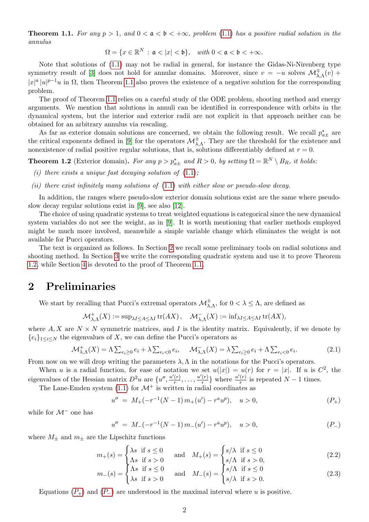<span id="page-1-0"></span>**Theorem 1.1.** For any  $p > 1$ , and  $0 < a < b < +\infty$ , problem [\(1.1\)](#page-0-0) has a positive radial solution in the annulus

$$
\Omega = \{x \in \mathbb{R}^N \,:\, \mathfrak{a} < |x| < \mathfrak{b}\}, \quad \text{with } 0 < \mathfrak{a} < \mathfrak{b} < +\infty.
$$

Note that solutions of [\(1.1\)](#page-0-0) may not be radial in general, for instance the Gidas-Ni-Nirenberg type symmetry result of [\[3\]](#page-13-7) does not hold for annular domains. Moreover, since  $v = -u$  solves  $\mathcal{M}^{\pm}_{\lambda,\Lambda}(v)$  +  $|x|^a |u|^{p-1}u$  in  $\Omega$ , then Theorem [1.1](#page-1-0) also proves the existence of a negative solution for the corresponding problem.

The proof of Theorem [1.1](#page-1-0) relies on a careful study of the ODE problem, shooting method and energy arguments. We mention that solutions in annuli can be identified in correspondence with orbits in the dynamical system, but the interior and exterior radii are not explicit in that approach neither can be obtained for an arbitrary annulus via rescaling.

As far as exterior domain solutions are concerned, we obtain the following result. We recall  $p_{a\pm}^*$  are the critical exponents defined in [\[9\]](#page-13-0) for the operators  $\mathcal{M}^{\pm}_{\lambda,\Lambda}$ . They are the threshold for the existence and nonexistence of radial positive regular solutions, that is, solutions differentiably defined at  $r = 0$ .

<span id="page-1-2"></span>**Theorem 1.2** (Exterior domain). For any  $p > p_{a\pm}^*$  and  $R > 0$ , by setting  $\Omega = \mathbb{R}^N \setminus B_R$ , it holds:

- (i) there exists a unique fast decaying solution of  $(1.1)$ ;
- (ii) there exist infinitely many solutions of  $(1.1)$  with either slow or pseudo-slow decay.

In addition, the ranges where pseudo-slow exterior domain solutions exist are the same where pseudoslow decay regular solutions exist in [\[9\]](#page-13-0), see also [\[12\]](#page-13-8).

The choice of using quadratic systems to treat weighted equations is categorical since the new dynamical system variables do not see the weight, as in [\[9\]](#page-13-0). It is worth mentioning that earlier methods employed might be much more involved, meanwhile a simple variable change which eliminates the weight is not available for Pucci operators.

The text is organized as follows. In Section [2](#page-1-1) we recall some preliminary tools on radial solutions and shooting method. In Section [3](#page-2-0) we write the corresponding quadratic system and use it to prove Theorem [1.2,](#page-1-2) while Section [4](#page-8-0) is devoted to the proof of Theorem [1.1.](#page-1-0)

# <span id="page-1-1"></span>2 Preliminaries

We start by recalling that Pucci's extremal operators  $\mathcal{M}^{\pm}_{\lambda,\Lambda}$ , for  $0<\lambda\leq\Lambda$ , are defined as

$$
\mathcal{M}^+_{\lambda,\Lambda}(X):=\mathrm{sup}_{\lambda I\leq A\leq\Lambda I}\,\mathrm{tr}(AX)\,,\quad \mathcal{M}^-_{\lambda,\Lambda}(X):=\mathrm{inf}_{\lambda I\leq A\leq\Lambda I}\,\mathrm{tr}(AX),
$$

where  $A, X$  are  $N \times N$  symmetric matrices, and I is the identity matrix. Equivalently, if we denote by  ${e_i}_{1\leq i\leq N}$  the eigenvalues of X, we can define the Pucci's operators as

$$
\mathcal{M}_{\lambda,\Lambda}^+(X) = \Lambda \sum_{e_i \ge 0} e_i + \lambda \sum_{e_i < 0} e_i, \quad \mathcal{M}_{\lambda,\Lambda}^-(X) = \lambda \sum_{e_i \ge 0} e_i + \Lambda \sum_{e_i < 0} e_i. \tag{2.1}
$$

From now on we will drop writing the parameters  $\lambda, \Lambda$  in the notations for the Pucci's operators.

When u is a radial function, for ease of notation we set  $u(|x|) = u(r)$  for  $r = |x|$ . If u is  $C^2$ , the eigenvalues of the Hessian matrix  $D^2u$  are  $\{u'', \frac{u'(r)}{r}\}$  $\frac{u'(r)}{r}, \ldots, \frac{u'(r)}{r}$  $\frac{u'(r)}{r}$  where  $\frac{u'(r)}{r}$  $\frac{(r)}{r}$  is repeated  $N-1$  times.

The Lane-Emden system  $(1.1)$  for  $\mathcal{M}^+$  is written in radial coordinates as

<span id="page-1-3"></span>
$$
u'' = M_{+}(-r^{-1}(N-1)m_{+}(u') - r^{a}u^{p}), \quad u > 0,
$$
\n
$$
(P_{+})
$$

while for  $\mathcal{M}^-$  one has

<span id="page-1-5"></span><span id="page-1-4"></span>
$$
u'' = M_-(-r^{-1}(N-1)m_-(u') - r^a u^p), \quad u > 0,
$$
\n
$$
(P_-)
$$

where  $M_{\pm}$  and  $m_{\pm}$  are the Lipschitz functions

$$
m_{+}(s) = \begin{cases} \lambda s & \text{if } s \le 0 \\ \Lambda s & \text{if } s > 0 \end{cases} \quad \text{and} \quad M_{+}(s) = \begin{cases} s/\lambda & \text{if } s \le 0 \\ s/\Lambda & \text{if } s > 0, \end{cases}
$$
 (2.2)

$$
m_{-}(s) = \begin{cases} \Lambda s & \text{if } s \le 0 \\ \lambda s & \text{if } s > 0 \end{cases} \quad \text{and} \quad M_{-}(s) = \begin{cases} s/\Lambda & \text{if } s \le 0 \\ s/\lambda & \text{if } s > 0. \end{cases}
$$
 (2.3)

Equations ( $P_+$  $P_+$ ) and ( $P_-$ ) are understood in the maximal interval where u is positive.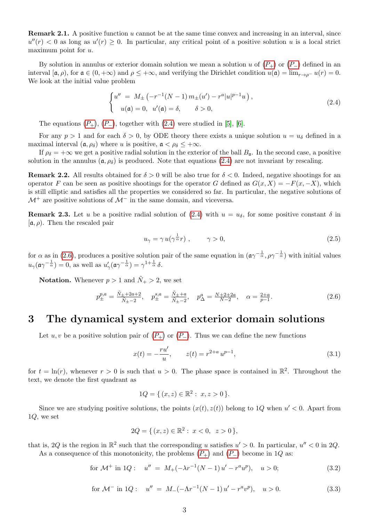<span id="page-2-7"></span>**Remark 2.1.** A positive function u cannot be at the same time convex and increasing in an interval, since  $u''(r) < 0$  as long as  $u'(r) \geq 0$ . In particular, any critical point of a positive solution u is a local strict maximum point for  $u$ .

By solution in annulus or exterior domain solution we mean a solution u of  $(P_+)$  $(P_+)$  $(P_+)$  or  $(P_-)$  defined in an interval  $[\mathfrak{a}, \rho)$ , for  $\mathfrak{a} \in (0, +\infty)$  and  $\rho \leq +\infty$ , and verifying the Dirichlet condition  $u(\mathfrak{a}) = \lim_{r \to \rho^{-}} u(r) = 0$ . We look at the initial value problem

<span id="page-2-1"></span>
$$
\begin{cases}\nu'' = M_{\pm} \left( -r^{-1} (N-1) \, m_{\pm}(u') - r^a |u|^{p-1} u \right), \\
u(\mathfrak{a}) = 0, \quad u'(\mathfrak{a}) = \delta, \qquad \delta > 0,\n\end{cases} \tag{2.4}
$$

The equations  $(P_+), (P_-),$  $(P_+), (P_-),$  $(P_+), (P_-),$  together with  $(2.4)$  were studied in [\[5\]](#page-13-5), [\[6\]](#page-13-4).

For any  $p > 1$  and for each  $\delta > 0$ , by ODE theory there exists a unique solution  $u = u_{\delta}$  defined in a maximal interval  $(\mathfrak{a}, \rho_{\delta})$  where u is positive,  $\mathfrak{a} < \rho_{\delta} \leq +\infty$ .

If  $\rho_{\delta} = +\infty$  we get a positive radial solution in the exterior of the ball  $B_{\mathfrak{a}}$ . In the second case, a positive solution in the annulus  $(\mathfrak{a}, \rho_{\delta})$  is produced. Note that equations [\(2.4\)](#page-2-1) are not invariant by rescaling.

<span id="page-2-8"></span>**Remark 2.2.** All results obtained for  $\delta > 0$  will be also true for  $\delta < 0$ . Indeed, negative shootings for an operator F can be seen as positive shootings for the operator G defined as  $G(x, X) = -F(x, -X)$ , which is still elliptic and satisfies all the properties we considered so far. In particular, the negative solutions of  $\mathcal{M}^+$  are positive solutions of  $\mathcal{M}^-$  in the same domain, and viceversa.

<span id="page-2-6"></span>**Remark 2.3.** Let u be a positive radial solution of [\(2.4\)](#page-2-1) with  $u = u_{\delta}$ , for some positive constant  $\delta$  in  $[\mathfrak{a}, \rho]$ . Then the rescaled pair

<span id="page-2-2"></span>
$$
u_{\gamma} = \gamma u(\gamma^{\frac{1}{\alpha}}r) , \qquad \gamma > 0, \tag{2.5}
$$

for  $\alpha$  as in [\(2.6\)](#page-2-2), produces a positive solution pair of the same equation in  $(\alpha \gamma^{-\frac{1}{\alpha}}, \rho \gamma^{-\frac{1}{\alpha}})$  with initial values  $u_{\gamma}(\mathfrak{a}\gamma^{-\frac{1}{\alpha}})=0$ , as well as  $u'_{\gamma}(\mathfrak{a}\gamma^{-\frac{1}{\alpha}})=\gamma^{1+\frac{1}{\alpha}}\delta$ .

**Notation.** Whenever  $p > 1$  and  $\tilde{N}_+ > 2$ , we set

$$
p_{\pm}^{p,a} = \frac{\tilde{N}_{\pm} + 2a + 2}{\tilde{N}_{\pm} - 2}, \quad p_{\pm}^{s,a} = \frac{\tilde{N}_{\pm} + a}{\tilde{N}_{\pm} - 2}, \quad p_{\Delta}^{a} = \frac{N + 2 + 2a}{N - 2}, \quad \alpha = \frac{2 + a}{p - 1}.
$$
 (2.6)

#### <span id="page-2-0"></span>3 The dynamical system and exterior domain solutions

Let u, v be a positive solution pair of  $(P_+)$  $(P_+)$  $(P_+)$  or  $(P_-)$ . Thus we can define the new functions

$$
x(t) = -\frac{ru'}{u}, \qquad z(t) = r^{2+a} u^{p-1}, \tag{3.1}
$$

for  $t = \ln(r)$ , whenever  $r > 0$  is such that  $u > 0$ . The phase space is contained in  $\mathbb{R}^2$ . Throughout the text, we denote the first quadrant as

<span id="page-2-3"></span>
$$
1Q = \{ (x, z) \in \mathbb{R}^2 : x, z > 0 \}.
$$

Since we are studying positive solutions, the points  $(x(t), z(t))$  belong to 1Q when  $u' < 0$ . Apart from  $1Q$ , we set

$$
2Q = \{ (x, z) \in \mathbb{R}^2 : x < 0, z > 0 \}
$$

that is, 2Q is the region in  $\mathbb{R}^2$  such that the corresponding u satisfies  $u' > 0$ . In particular,  $u'' < 0$  in 2Q. As a consequence of this monotonicity, the problems  $(P_+)$  $(P_+)$  $(P_+)$  and  $(P_-)$  become in 1Q as:

for 
$$
\mathcal{M}^+
$$
 in 1Q:  $u'' = M_+(-\lambda r^{-1}(N-1)u' - r^a u^p), \quad u > 0;$  (3.2)

for 
$$
\mathcal{M}^-
$$
 in 1Q:  $u'' = M_-(-\Lambda r^{-1}(N-1)u' - r^a v^p), \quad u > 0.$  (3.3)

<span id="page-2-5"></span><span id="page-2-4"></span>
$$
Q = \{ (x, z) \in \mathbb{R}^2 : x < 0, z > 0 \},
$$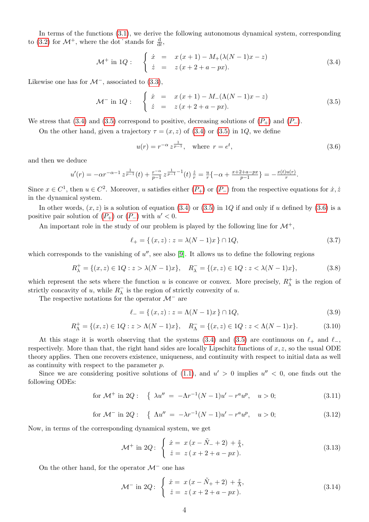In terms of the functions [\(3.1\)](#page-2-3), we derive the following autonomous dynamical system, corresponding to [\(3.2\)](#page-2-4) for  $\mathcal{M}^+$ , where the dot stands for  $\frac{d}{dt}$ ,

$$
\mathcal{M}^+ \text{ in } 1Q: \quad \begin{cases} \dot{x} = x(x+1) - M_+(\lambda(N-1)x - z) \\ \dot{z} = z(x+2+a-px). \end{cases} \tag{3.4}
$$

Likewise one has for  $\mathcal{M}^-$ , associated to [\(3.3\)](#page-2-5),

$$
\mathcal{M}^- \text{ in } 1Q: \quad \begin{cases} \dot{x} = x(x+1) - M_-(\Lambda(N-1)x - z) \\ \dot{z} = z(x+2+a-px). \end{cases} \tag{3.5}
$$

We stress that [\(3.4\)](#page-3-0) and [\(3.5\)](#page-3-1) correspond to positive, decreasing solutions of  $(P_+)$  $(P_+)$  $(P_+)$  and  $(P_-)$ .

On the other hand, given a trajectory  $\tau = (x, z)$  of  $(3.4)$  or  $(3.5)$  in 1Q, we define

<span id="page-3-2"></span><span id="page-3-1"></span><span id="page-3-0"></span>
$$
u(r) = r^{-\alpha} z^{\frac{1}{p-1}}, \text{ where } r = e^t,
$$
 (3.6)

and then we deduce

$$
u'(r) = -\alpha r^{-\alpha-1} z^{\frac{1}{p-1}}(t) + \frac{r^{-\alpha}}{p-1} z^{\frac{1}{p-1}-1}(t) \frac{z}{r} = \frac{u}{r} \{-\alpha + \frac{x+2+a-px}{p-1}\} = -\frac{x(t)u(r)}{r}.
$$

Since  $x \in C^1$ , then  $u \in C^2$ . Moreover, u satisfies either  $(P_+)$  $(P_+)$  $(P_+)$  or  $(P_-)$  from the respective equations for  $\dot{x}, \dot{z}$ in the dynamical system.

In other words,  $(x, z)$  is a solution of equation [\(3.4\)](#page-3-0) or [\(3.5\)](#page-3-1) in 1Q if and only if u defined by [\(3.6\)](#page-3-2) is a positive pair solution of  $(P_+)$  $(P_+)$  $(P_+)$  or  $(P_-)$  with  $u' < 0$ .

An important role in the study of our problem is played by the following line for  $\mathcal{M}^+$ ,

$$
\ell_{+} = \{ (x, z) : z = \lambda (N - 1)x \} \cap 1Q, \tag{3.7}
$$

which corresponds to the vanishing of  $u''$ , see also [\[9\]](#page-13-0). It allows us to define the following regions

$$
R_{\lambda}^{+} = \{ (x, z) \in 1Q : z > \lambda(N - 1)x \}, \quad R_{\lambda}^{-} = \{ (x, z) \in 1Q : z < \lambda(N - 1)x \},
$$
\n(3.8)

which represent the sets where the function u is concave or convex. More precisely,  $R_{\lambda}^{+}$  $\chi^+$  is the region of strictly concavity of u, while  $R_{\lambda}^ \overline{\lambda}$  is the region of strictly convexity of u.

The respective notations for the operator  $\mathcal{M}^-$  are

$$
\ell_- = \{ (x, z) : z = \Lambda(N - 1)x \} \cap 1Q,\tag{3.9}
$$

$$
R_{\Lambda}^{+} = \{(x, z) \in 1Q : z > \Lambda(N - 1)x\}, \quad R_{\Lambda}^{-} = \{(x, z) \in 1Q : z < \Lambda(N - 1)x\}.
$$
 (3.10)

At this stage it is worth observing that the systems [\(3.4\)](#page-3-0) and [\(3.5\)](#page-3-1) are continuous on  $\ell_+$  and  $\ell_-$ , respectively. More than that, the right hand sides are locally Lipschitz functions of  $x, z$ , so the usual ODE theory applies. Then one recovers existence, uniqueness, and continuity with respect to initial data as well as continuity with respect to the parameter  $p$ .

Since we are considering positive solutions of [\(1.1\)](#page-0-0), and  $u' > 0$  implies  $u'' < 0$ , one finds out the following ODEs:

for 
$$
\mathcal{M}^+
$$
 in 2Q: {  $\lambda u'' = -\Lambda r^{-1}(N-1)u' - r^a u^p$ ,  $u > 0$ ; (3.11)

for 
$$
\mathcal{M}^-
$$
 in 2Q: {  $\Lambda u'' = -\lambda r^{-1}(N-1)u' - r^a u^p$ ,  $u > 0$ ; (3.12)

Now, in terms of the corresponding dynamical system, we get

<span id="page-3-3"></span>
$$
\mathcal{M}^+ \text{ in } 2Q: \begin{cases} \dot{x} = x(x - \tilde{N}_- + 2) + \frac{z}{\lambda}, \\ \dot{z} = z(x + 2 + a - px). \end{cases}
$$
 (3.13)

On the other hand, for the operator  $\mathcal{M}^-$  one has

<span id="page-3-4"></span>
$$
\mathcal{M}^- \text{ in } 2Q: \begin{cases} \dot{x} = x(x - \tilde{N}_+ + 2) + \frac{z}{\Lambda}, \\ \dot{z} = z(x + 2 + a - px). \end{cases}
$$
 (3.14)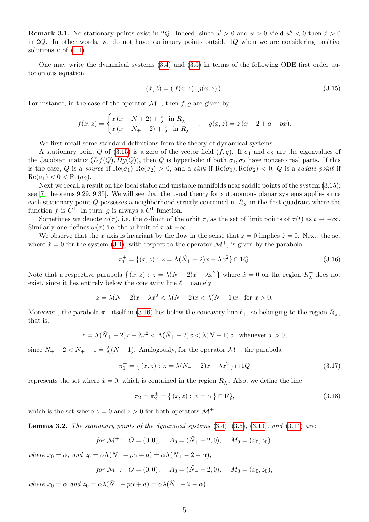**Remark 3.1.** No stationary points exist in 2Q. Indeed, since  $u' > 0$  and  $u > 0$  yield  $u'' < 0$  then  $\dot{x} > 0$ in 2Q. In other words, we do not have stationary points outside  $1Q$  when we are considering positive solutions  $u$  of  $(1.1)$ .

One may write the dynamical systems [\(3.4\)](#page-3-0) and [\(3.5\)](#page-3-1) in terms of the following ODE first order autonomous equation

<span id="page-4-0"></span>
$$
(\dot{x}, \dot{z}) = (f(x, z), g(x, z)). \tag{3.15}
$$

For instance, in the case of the operator  $\mathcal{M}^+$ , then f, g are given by

$$
f(x, z) = \begin{cases} x (x - N + 2) + \frac{z}{\lambda} \text{ in } R_{\lambda}^{+} \\ x (x - \tilde{N}_{+} + 2) + \frac{z}{\Lambda} \text{ in } R_{\lambda}^{-} \end{cases}, \quad g(x, z) = z (x + 2 + a - px).
$$

We first recall some standard definitions from the theory of dynamical systems.

A stationary point Q of [\(3.15\)](#page-4-0) is a zero of the vector field  $(f, g)$ . If  $\sigma_1$  and  $\sigma_2$  are the eigenvalues of the Jacobian matrix  $(Df(Q), Dg(Q))$ , then Q is hyperbolic if both  $\sigma_1, \sigma_2$  have nonzero real parts. If this is the case, Q is a source if  $\text{Re}(\sigma_1), \text{Re}(\sigma_2) > 0$ , and a sink if  $\text{Re}(\sigma_1), \text{Re}(\sigma_2) < 0$ ; Q is a saddle point if  $\text{Re}(\sigma_1) < 0 < \text{Re}(\sigma_2).$ 

Next we recall a result on the local stable and unstable manifolds near saddle points of the system [\(3.15\)](#page-4-0); see [\[7,](#page-13-9) theorems 9.29, 9.35]. We will see that the usual theory for autonomous planar systems applies since each stationary point Q possesses a neighborhood strictly contained in  $R_{\lambda}^{-}$  $\overline{\lambda}$  in the first quadrant where the function f is  $C^1$ . In turn, g is always a  $C^1$  function.

Sometimes we denote  $\alpha(\tau)$ , i.e. the  $\alpha$ -limit of the orbit  $\tau$ , as the set of limit points of  $\tau(t)$  as  $t \to -\infty$ . Similarly one defines  $\omega(\tau)$  i.e. the  $\omega$ -limit of  $\tau$  at  $+\infty$ .

We observe that the x axis is invariant by the flow in the sense that  $z = 0$  implies  $\dot{z} = 0$ . Next, the set where  $\dot{x} = 0$  for the system [\(3.4\)](#page-3-0), with respect to the operator  $\mathcal{M}^+$ , is given by the parabola

<span id="page-4-1"></span>
$$
\pi_1^+ = \{ (x, z) : z = \Lambda(\tilde{N}_+ - 2)x - \Lambda x^2 \} \cap 1Q.
$$
\n(3.16)

Note that a respective parabola  $\{(x, z): z = \lambda(N-2)x - \lambda x^2\}$  where  $\dot{x} = 0$  on the region  $R_{\lambda}^+$  $\alpha_{\lambda}^{+}$  does not exist, since it lies entirely below the concavity line  $\ell_+$ , namely

$$
z = \lambda(N-2)x - \lambda x^2 < \lambda(N-2)x < \lambda(N-1)x \quad \text{for } x > 0.
$$

Moreover, the parabola  $\pi_1^+$  itself in [\(3.16\)](#page-4-1) lies below the concavity line  $\ell_+$ , so belonging to the region  $R_\lambda^ \bar{\lambda}$ , that is,

$$
z = \Lambda(\tilde{N}_+ - 2)x - \lambda x^2 < \Lambda(\tilde{N}_+ - 2)x < \lambda(N - 1)x \quad \text{whenever } x > 0,
$$

since  $\tilde{N}_+ - 2 < \tilde{N}_+ - 1 = \frac{\lambda}{\Lambda}(N-1)$ . Analogously, for the operator  $\mathcal{M}^-$ , the parabola

$$
\pi_1^- = \{ (x, z) : z = \lambda(\tilde{N}_- - 2)x - \lambda x^2 \} \cap 1Q \tag{3.17}
$$

represents the set where  $\dot{x} = 0$ , which is contained in the region  $R_{\Lambda}^ \overline{\Lambda}$ . Also, we define the line

$$
\pi_2 = \pi_2^{\pm} = \{ (x, z) : x = \alpha \} \cap 1Q,\tag{3.18}
$$

which is the set where  $\dot{z} = 0$  and  $z > 0$  for both operators  $\mathcal{M}^{\pm}$ .

<span id="page-4-2"></span>**Lemma 3.2.** The stationary points of the dynamical systems  $(3.4)$ ,  $(3.5)$ ,  $(3.13)$ , and  $(3.14)$  are:

for 
$$
\mathcal{M}^+
$$
:  $O = (0,0)$ ,  $A_0 = (\tilde{N}_+ - 2,0)$ ,  $M_0 = (x_0, z_0)$ ,

where  $x_0 = \alpha$ , and  $z_0 = \alpha \Lambda(\tilde{N}_+ - p\alpha + a) = \alpha \Lambda(\tilde{N}_+ - 2 - \alpha);$ 

for 
$$
\mathcal{M}^-
$$
:  $O = (0,0)$ ,  $A_0 = (\tilde{N}_- - 2,0)$ ,  $M_0 = (x_0, z_0)$ ,

where  $x_0 = \alpha$  and  $z_0 = \alpha \lambda (\tilde{N}_- - p\alpha + a) = \alpha \lambda (\tilde{N}_- - 2 - \alpha)$ .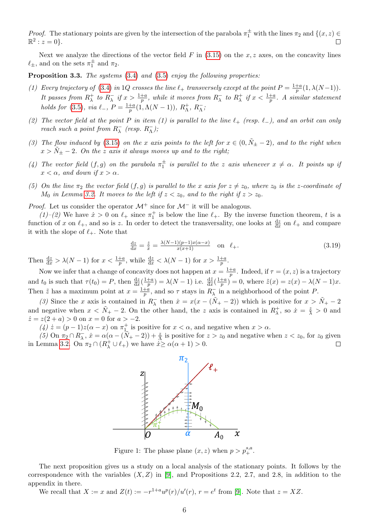*Proof.* The stationary points are given by the intersection of the parabola  $\pi_1^{\pm}$  with the lines  $\pi_2$  and  $\{(x, z) \in$  $\mathbb{R}^2 : z = 0$ .  $\Box$ 

Next we analyze the directions of the vector field  $F$  in  $(3.15)$  on the x, z axes, on the concavity lines  $\ell_{\pm}$ , and on the sets  $\pi_1^{\pm}$  and  $\pi_2$ .

**Proposition 3.3.** The systems  $(3.4)$  and  $(3.5)$  enjoy the following properties:

- (1) Every trajectory of [\(3.4\)](#page-3-0) in 1Q crosses the line  $\ell_+$  transversely except at the point  $P = \frac{1+a}{p}$  $\frac{+a}{p}(1,\lambda(N-1)).$ It passes from  $R_{\lambda}^{+}$  $\lambda^+$  to  $R_\lambda^ \frac{1}{\lambda}$  if  $x > \frac{1+a}{p}$ , while it moves from  $R_{\lambda}^{-}$  $\bar{\lambda}$  to  $R_{\lambda}^{+}$  $\frac{1}{\lambda}$  if  $x < \frac{1+a}{p}$ . A similar statement holds for [\(3.5\)](#page-3-1), via  $\ell_-, P = \frac{1+a}{n}$  $\frac{+a}{p}(1,\Lambda(N-1)), R_\Lambda^+$  $\Lambda^+$ ,  $R^ \bar{\Lambda}$  ;
- (2) The vector field at the point P in item (1) is parallel to the line  $\ell_+$  (resp.  $\ell_-$ ), and an orbit can only reach such a point from  $R_{\lambda}^ \bar{\lambda}$  (resp.  $R_{\Lambda}^ _{\Lambda}^{-}$ );
- (3) The flow induced by [\(3.15\)](#page-4-0) on the x axis points to the left for  $x \in (0, \tilde{N}_{\pm} 2)$ , and to the right when  $x > N_{\pm} - 2$ . On the z axis it always moves up and to the right;
- (4) The vector field  $(f, g)$  on the parabola  $\pi_1^{\pm}$  is parallel to the z axis whenever  $x \neq \alpha$ . It points up if  $x < \alpha$ , and down if  $x > \alpha$ .
- (5) On the line  $\pi_2$  the vector field  $(f, g)$  is parallel to the x axis for  $z \neq z_0$ , where  $z_0$  is the z-coordinate of  $M_0$  in Lemma [3.2.](#page-4-2) It moves to the left if  $z < z_0$ , and to the right if  $z > z_0$ .

*Proof.* Let us consider the operator  $\mathcal{M}^+$  since for  $\mathcal{M}^-$  it will be analogous.

(1)–(2) We have  $\dot{x} > 0$  on  $\ell_+$  since  $\pi_1^+$  is below the line  $\ell_+$ . By the inverse function theorem, t is a function of x on  $\ell_+$ , and so is z. In order to detect the transversality, one looks at  $\frac{dz}{dx}$  on  $\ell_+$  and compare it with the slope of  $\ell_+$ . Note that

$$
\frac{\mathrm{d}z}{\mathrm{d}x} = \frac{\dot{z}}{\dot{x}} = \frac{\lambda(N-1)(p-1)x(\alpha-x)}{x(x+1)} \quad \text{on} \quad \ell_+.
$$
\n(3.19)

Then  $\frac{dz}{dx} > \lambda(N-1)$  for  $x < \frac{1+a}{p}$ , while  $\frac{dz}{dx} < \lambda(N-1)$  for  $x > \frac{1+a}{p}$ .

Now we infer that a change of concavity does not happen at  $x = \frac{1+a}{n}$  $\frac{+a}{p}$ . Indeed, if  $\tau = (x, z)$  is a trajectory and  $t_0$  is such that  $\tau(t_0) = P$ , then  $\frac{dz}{dx}(\frac{1+a}{p})$  $\frac{+a}{p}) = \lambda(N-1)$  i.e.  $\frac{d\tilde{z}}{dx}(\frac{1+a}{p})$  $\frac{+a}{p}$ ) = 0, where  $\tilde{z}(x) = z(x) - \lambda(N-1)x$ . Then  $\tilde{z}$  has a maximum point at  $x = \frac{1+a}{n}$  $\frac{+a}{p}$ , and so  $\tau$  stays in  $R_{\lambda}^{-}$  $\overline{\lambda}$  in a neighborhood of the point P.

(3) Since the x axis is contained in  $R_{\lambda}^ \bar{x}$  then  $\dot{x} = x(x - (\tilde{N}_+ - 2))$  which is positive for  $x > \tilde{N}_+ - 2$ and negative when  $x < \tilde{N}_{+} - 2$ . On the other hand, the z axis is contained in  $R_{\lambda}^{+}$  $\dot{x}$ , so  $\dot{x} = \frac{z}{\lambda} > 0$  and  $\dot{z} = z(2 + a) > 0$  on  $x = 0$  for  $a > -2$ .

(4)  $\dot{z} = (p-1)z(\alpha - x)$  on  $\pi_{1}^{+}$  is positive for  $x < \alpha$ , and negative when  $x > \alpha$ .

(5) On  $\pi_2 \cap R_{\lambda}^ \overline{\lambda}_\lambda$ ,  $\dot{x} = \alpha(\alpha - (\tilde{N}_+ - 2)) + \frac{z}{\Lambda}$  is positive for  $z > z_0$  and negative when  $z < z_0$ , for  $z_0$  given in Lemma [3.2.](#page-4-2) On  $\pi_2 \cap (R_\lambda^+ \cup \ell_+)$  we have  $\overrightarrow{x} \ge \alpha(\alpha + 1) > 0$ .  $\Box$ 



Figure 1: The phase plane  $(x, z)$  when  $p > p^{s,a}_+$ .

The next proposition gives us a study on a local analysis of the stationary points. It follows by the correspondence with the variables  $(X, Z)$  in [\[9\]](#page-13-0), and Propositions 2.2, 2.7, and 2.8, in addition to the appendix in there.

We recall that  $X := x$  and  $Z(t) := -r^{1+a}u^p(r)/u'(r)$ ,  $r = e^t$  from [\[9\]](#page-13-0). Note that  $z = XZ$ .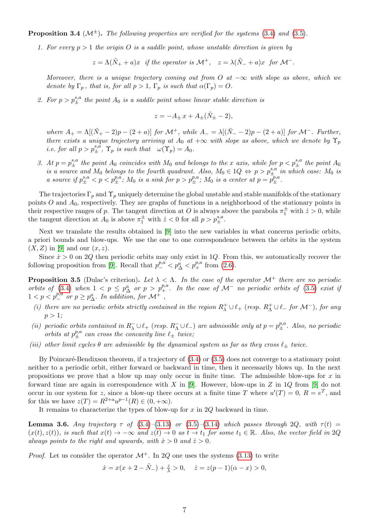<span id="page-6-0"></span>**Proposition 3.4** ( $\mathcal{M}^{\pm}$ ). The following properties are verified for the systems [\(3.4\)](#page-3-0) and [\(3.5\)](#page-3-1).

1. For every  $p > 1$  the origin O is a saddle point, whose unstable direction is given by

 $z = \Lambda(\tilde{N}_+ + a)x$  if the operator is  $\mathcal{M}^+$ ,  $z = \lambda(\tilde{N}_- + a)x$  for  $\mathcal{M}^-$ .

Moreover, there is a unique trajectory coming out from O at  $-\infty$  with slope as above, which we denote by  $\Gamma_p$ , that is, for all  $p > 1$ ,  $\Gamma_p$  is such that  $\alpha(\Gamma_p) = O$ .

2. For  $p > p_{\pm}^{s,a}$  the point  $A_0$  is a saddle point whose linear stable direction is

$$
z = -A_{\pm}x + A_{\pm}(\tilde{N}_{\pm} - 2),
$$

where  $A_+ = \Lambda[(\tilde{N}_+ - 2)p - (2 + a)]$  for  $\mathcal{M}^+$ , while  $A_- = \lambda[(\tilde{N}_- - 2)p - (2 + a)]$  for  $\mathcal{M}^-$ . Further, there exists a unique trajectory arriving at  $A_0$  at  $+\infty$  with slope as above, which we denote by  $\Upsilon_p$ *i.e. for all*  $p > p_{\pm}^{s,a}$ ,  $\Upsilon_p$  *is such that*  $\omega(\Upsilon_p) = A_0$ .

3. At  $p = p_{\pm}^{s,a}$  the point  $A_0$  coincides with  $M_0$  and belongs to the x axis, while for  $p < p_{\pm}^{s,a}$  the point  $A_0$ is a source and  $M_0$  belongs to the fourth quadrant. Also,  $M_0 \in 1Q \Leftrightarrow p > p_{\pm}^{s,a}$  in which case:  $M_0$  is a source if  $p_{\pm}^{s,a} < p < p_{\pm}^{p,a}$ ;  $M_0$  is a sink for  $p > p_{\pm}^{p,a}$ ;  $M_0$  is a center at  $p = p_{\pm}^{p,a}$ .

The trajectories  $\Gamma_p$  and  $\Upsilon_p$  uniquely determine the global unstable and stable manifolds of the stationary points  $O$  and  $A_0$ , respectively. They are graphs of functions in a neighborhood of the stationary points in their respective ranges of p. The tangent direction at O is always above the parabola  $\pi_1^{\pm}$  with  $\dot{z} > 0$ , while the tangent direction at  $A_0$  is above  $\pi_1^{\pm}$  with  $z < 0$  for all  $p > p_{\pm}^{s,a}$ .

Next we translate the results obtained in [\[9\]](#page-13-0) into the new variables in what concerns periodic orbits, a priori bounds and blow-ups. We use the one to one correspondence between the orbits in the system  $(X, Z)$  in [\[9\]](#page-13-0) and our  $(x, z)$ .

Since  $\dot{x} > 0$  on 2Q then periodic orbits may only exist in 1Q. From this, we automatically recover the following proposition from [\[9\]](#page-13-0). Recall that  $p_{-}^{p,a} < p_{\Delta}^{a} < p_{+}^{p,a}$  from [\(2.6\)](#page-2-2).

**Proposition 3.5** (Dulac's criterion). Let  $\lambda < \Lambda$ . In the case of the operator  $\mathcal{M}^+$  there are no periodic orbits of [\(3.4\)](#page-3-0) when  $1 < p \leq p_{\Delta}^{a}$  or  $p > p_{+}^{p,a}$ . In the case of  $\mathcal{M}^{-}$  no periodic orbits of [\(3.5\)](#page-3-1) exist if  $1 < p < p_{-}^{p,a}$  or  $p \ge p_{\Delta}^{a}$ . In addition, for  $\mathcal{M}^+$ ,

- (i) there are no periodic orbits strictly contained in the region  $R^+_\lambda \cup \ell_+$  (resp.  $R^+_\Lambda \cup \ell_-$  for  $\mathcal{M}^-$ ), for any  $p > 1$ ;
- (ii) periodic orbits contained in  $R_{\lambda}^- \cup \ell_+$  (resp.  $R_{\Lambda}^- \cup \ell_-$ ) are admissible only at  $p = p_{\pm}^{p,a}$ . Also, no periodic orbits at  $p_{\pm}^{p,a}$  can cross the concavity line  $\ell_{\pm}$  twice;
- (iii) other limit cycles  $\theta$  are admissible by the dynamical system as far as they cross  $\ell_{\pm}$  twice.

By Poincaré-Bendixson theorem, if a trajectory of  $(3.4)$  or  $(3.5)$  does not converge to a stationary point neither to a periodic orbit, either forward or backward in time, then it necessarily blows up. In the next propositions we prove that a blow up may only occur in finite time. The admissible blow-ups for  $x$  in forward time are again in correspondence with X in [\[9\]](#page-13-0). However, blow-ups in Z in 1Q from [9] do not occur in our system for z, since a blow-up there occurs at a finite time T where  $u'(T) = 0$ ,  $R = e^T$ , and for this we have  $z(T) = R^{2+a}u^{p-1}(R) \in (0, +\infty)$ .

It remains to characterize the types of blow-up for  $x$  in  $2Q$  backward in time.

<span id="page-6-1"></span>**Lemma 3.6.** Any trajectory  $\tau$  of [\(3.4\)](#page-3-0)–[\(3.13\)](#page-3-3) or [\(3.5\)](#page-3-1)–[\(3.14\)](#page-3-4) which passes through 2Q, with  $\tau(t)$  =  $(x(t), z(t))$ , is such that  $x(t) \to -\infty$  and  $z(t) \to 0$  as  $t \to t_1$  for some  $t_1 \in \mathbb{R}$ . Also, the vector field in 2Q always points to the right and upwards, with  $\dot{x} > 0$  and  $\dot{z} > 0$ .

*Proof.* Let us consider the operator  $\mathcal{M}^+$ . In 2Q one uses the systems [\(3.13\)](#page-3-3) to write

 $\dot{x} = x(x + 2 - \tilde{N}_-) + \frac{z}{\lambda} > 0, \quad \dot{z} = z(p-1)(\alpha - x) > 0,$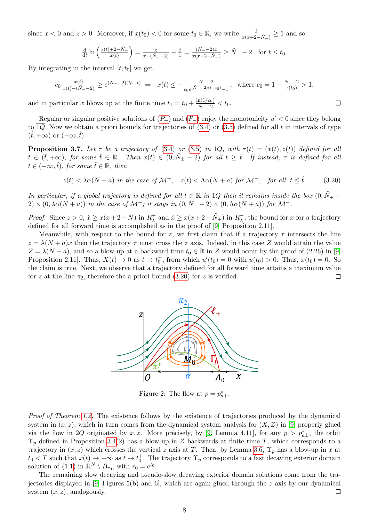since  $x < 0$  and  $z > 0$ . Moreover, if  $x(t_0) < 0$  for some  $t_0 \in \mathbb{R}$ , we write  $\frac{x}{x(x+2-\tilde{N}_-)} \ge 1$  and so

$$
\frac{\mathrm{d}}{\mathrm{d}t}\ln\left(\frac{x(t)+2-\tilde{N}_-}{x(t)}\right) = \frac{\dot{x}}{x-(\tilde{N}_--2)} - \frac{\dot{x}}{x} = \frac{(\tilde{N}_--2)\dot{x}}{x(x+2-\tilde{N}_-)} \ge \tilde{N}_--2 \quad \text{for } t \le t_0.
$$

By integrating in the interval  $[t, t_0]$  we get

$$
c_0 \frac{x(t)}{x(t) - (\tilde{N}_- - 2)} \ge e^{(\tilde{N}_- - 2)(t_0 - t)} \implies x(t) \le -\frac{\tilde{N}_- - 2}{c_0 e^{(\tilde{N}_- - 2)(t - t_0)} - 1}, \text{ where } c_0 = 1 - \frac{\tilde{N}_- - 2}{x(t_0)} > 1,
$$

<span id="page-7-0"></span> $\Box$ 

and in particular x blows up at the finite time  $t_1 = t_0 + \frac{\ln(1/c_0)}{\tilde{N}}$  $\frac{n(1/c_0)}{\tilde{N}_- - 2} < t_0.$ 

Regular or singular positive solutions of  $(P_+)$  $(P_+)$  $(P_+)$  and  $(P_-)$  enjoy the monotonicity  $u' < 0$  since they belong to  $\overline{1Q}$ . Now we obtain a priori bounds for trajectories of  $(3.4)$  or  $(3.5)$  defined for all t in intervals of type  $(\hat{t},+\infty)$  or  $(-\infty,\hat{t})$ .

<span id="page-7-2"></span>**Proposition 3.7.** Let  $\tau$  be a trajectory of [\(3.4\)](#page-3-0) or [\(3.5\)](#page-3-1) in 1Q, with  $\tau(t) = (x(t), z(t))$  defined for all  $t \in (\hat{t}, +\infty)$ , for some  $\hat{t} \in \mathbb{R}$ . Then  $x(t) \in (0, \tilde{N}_{\pm} - 2)$  for all  $t \geq \hat{t}$ . If instead,  $\tau$  is defined for all  $t \in (-\infty, \hat{t}),$  for some  $\hat{t} \in \mathbb{R}$ , then

$$
z(t) < \lambda \alpha (N+a) \text{ in the case of } \mathcal{M}^+, \quad z(t) < \Lambda \alpha (N+a) \text{ for } \mathcal{M}^-, \quad \text{for all } t \leq \hat{t}.\tag{3.20}
$$

In particular, if a global trajectory is defined for all  $t \in \mathbb{R}$  in 1Q then it remains inside the box  $(0, \tilde{N}_+$  –  $2) \times (0, \lambda \alpha (N+a))$  in the case of  $\mathcal{M}^+$ ; it stays in  $(0, \tilde{N}_- - 2) \times (0, \Lambda \alpha (N+a))$  for  $\mathcal{M}^-$ .

*Proof.* Since  $z > 0$ ,  $\dot{x} \geq x(x+2-N)$  in  $R_{\lambda}^{+}$  $\chi^+$  and  $\dot{x} \ge x(x+2-\tilde{N}_+)$  in  $R_{\lambda}^ \overline{\lambda}$ , the bound for x for a trajectory defined for all forward time is accomplished as in the proof of [\[9,](#page-13-0) Proposition 2.11].

<span id="page-7-1"></span>Meanwhile, with respect to the bound for z, we first claim that if a trajectory  $\tau$  intersects the line  $z = \lambda (N + a)x$  then the trajectory  $\tau$  must cross the z axis. Indeed, in this case Z would attain the value  $Z = \lambda(N + a)$ , and so a blow up at a backward time  $t_0 \in \mathbb{R}$  in Z would occur by the proof of (2.26) in [\[9,](#page-13-0) Proposition 2.11]. Thus,  $X(t) \to 0$  as  $t \to t_0^+$ , from which  $u'(t_0) = 0$  with  $u(t_0) > 0$ . Thus,  $x(t_0) = 0$ . So the claim is true. Next, we observe that a trajectory defined for all forward time attains a maximum value for z at the line  $\pi_2$ , therefore the a priori bound [\(3.20\)](#page-7-0) for z is verified.  $\Box$ 



Figure 2: The flow at  $p = p_{a+}^*$ .

Proof of Theorem [1.2.](#page-1-2) The existence follows by the existence of trajectories produced by the dynamical system in  $(x, z)$ , which in turn comes from the dynamical system analysis for  $(X, Z)$  in [\[9\]](#page-13-0) properly glued via the flow in 2Q originated by x, z. More precisely, by [\[9,](#page-13-0) Lemma 4.11], for any  $p > p_{a\pm}^*$ , the orbit  $\Upsilon_p$  defined in Proposition [3.4\(](#page-6-0)2) has a blow-up in Z backwards at finite time T, which corresponds to a trajectory in  $(x, z)$  which crosses the vertical z axis at T. Then, by Lemma [3.6,](#page-6-1)  $\Upsilon_p$  has a blow-up in x at  $t_0 < T$  such that  $x(t) \to -\infty$  as  $t \to t_0^+$ . The trajectory  $\Upsilon_p$  corresponds to a fast decaying exterior domain solution of [\(1.1\)](#page-0-0) in  $\mathbb{R}^N \setminus B_{r_0}$ , with  $r_0 = e^{t_0}$ .

The remaining slow decaying and pseudo-slow decaying exterior domain solutions come from the trajectories displayed in [\[9,](#page-13-0) Figures 5(b) and 6], which are again glued through the z axis by our dynamical system  $(x, z)$ , analogously.  $\Box$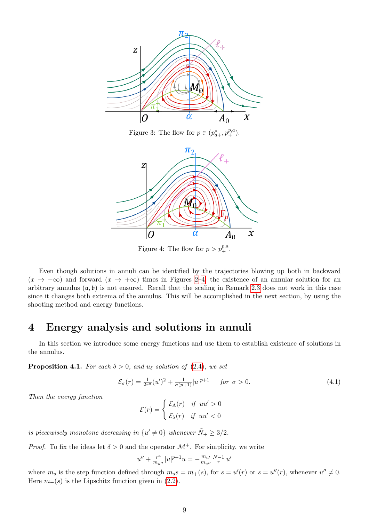

Figure 3: The flow for  $p \in (p_{a+}^*, p_+^{p,a}).$ 

<span id="page-8-1"></span>

Figure 4: The flow for  $p > p_+^{p,a}$ .

Even though solutions in annuli can be identified by the trajectories blowing up both in backward  $(x \to -\infty)$  and forward  $(x \to +\infty)$  times in Figures [2–](#page-7-1)[4,](#page-8-1) the existence of an annular solution for an arbitrary annulus  $(a, b)$  is not ensured. Recall that the scaling in Remark [2.3](#page-2-6) does not work in this case since it changes both extrema of the annulus. This will be accomplished in the next section, by using the shooting method and energy functions.

## <span id="page-8-0"></span>4 Energy analysis and solutions in annuli

In this section we introduce some energy functions and use them to establish existence of solutions in the annulus.

<span id="page-8-3"></span>**Proposition 4.1.** For each  $\delta > 0$ , and  $u_{\delta}$  solution of [\(2.4\)](#page-2-1), we set

$$
\mathcal{E}_{\sigma}(r) = \frac{1}{2r^a}(u')^2 + \frac{1}{\sigma(p+1)}|u|^{p+1} \quad \text{for } \sigma > 0.
$$
 (4.1)

Then the energy function

<span id="page-8-2"></span>
$$
\mathcal{E}(r) = \begin{cases} \mathcal{E}_{\Lambda}(r) & \text{if } uu' > 0\\ \mathcal{E}_{\lambda}(r) & \text{if } uu' < 0 \end{cases}
$$

is piecewisely monotone decreasing in  $\{u' \neq 0\}$  whenever  $\tilde{N}_+ \geq 3/2$ .

*Proof.* To fix the ideas let  $\delta > 0$  and the operator  $\mathcal{M}^+$ . For simplicity, we write

$$
u'' + \frac{r^a}{m_{u''}} |u|^{p-1} u = -\frac{m_{u'}}{m_{u''}} \frac{N-1}{r} u''
$$

where  $m_s$  is the step function defined through  $m_s s = m_+(s)$ , for  $s = u'(r)$  or  $s = u''(r)$ , whenever  $u'' \neq 0$ . Here  $m_{+}(s)$  is the Lipschitz function given in [\(2.2\)](#page-1-5).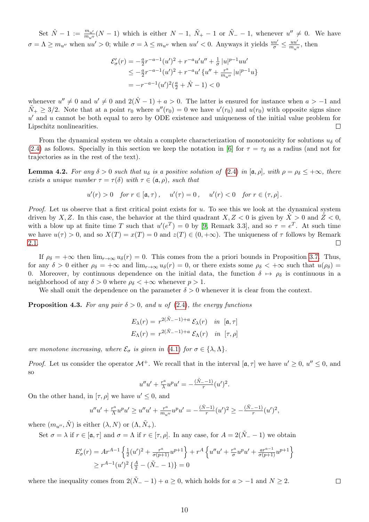Set  $\hat{N} - 1 := \frac{m_{u'}}{m_{u''}}(N-1)$  which is either  $N-1$ ,  $\tilde{N}_+ - 1$  or  $\tilde{N}_- - 1$ , whenever  $u'' \neq 0$ . We have  $\sigma = \Lambda \ge m_{u''}$  when  $uu' > 0$ ; while  $\sigma = \lambda \le m_{u''}$  when  $uu' < 0$ . Anyways it yields  $\frac{uu'}{\sigma} \le \frac{uu'}{m_{u'}}$  $\frac{uu'}{m_{u''}}$ , then

$$
\mathcal{E}'_{\sigma}(r) = -\frac{a}{2}r^{-a-1}(u')^2 + r^{-a}u'u'' + \frac{1}{\sigma}|u|^{p-1}uu'
$$
  
\n
$$
\leq -\frac{a}{2}r^{-a-1}(u')^2 + r^{-a}u'\{u'' + \frac{r^a}{m_{u''}}|u|^{p-1}u\}
$$
  
\n
$$
= -r^{-a-1}(u')^2(\frac{a}{2} + \hat{N} - 1) < 0
$$

whenever  $u'' \neq 0$  and  $u' \neq 0$  and  $2(\hat{N}-1) + a > 0$ . The latter is ensured for instance when  $a > -1$  and  $\tilde{N}_+ \geq 3/2$ . Note that at a point  $r_0$  where  $u''(r_0) = 0$  we have  $u'(r_0)$  and  $u(r_0)$  with opposite signs since  $u'$  and u cannot be both equal to zero by ODE existence and uniqueness of the initial value problem for Lipschitz nonlinearities.  $\Box$ 

From the dynamical system we obtain a complete characterization of monotonicity for solutions  $u_{\delta}$  of [\(2.4\)](#page-2-1) as follows. Specially in this section we keep the notation in [\[6\]](#page-13-4) for  $\tau = \tau_{\delta}$  as a radius (and not for trajectories as in the rest of the text).

**Lemma 4.2.** For any  $\delta > 0$  such that  $u_{\delta}$  is a positive solution of [\(2.4\)](#page-2-1) in [a,  $\rho$ ], with  $\rho = \rho_{\delta} \leq +\infty$ , there exists a unique number  $\tau = \tau(\delta)$  with  $\tau \in (\mathfrak{a}, \rho)$ , such that

$$
u'(r) > 0
$$
 for  $r \in [a, \tau)$ ,  $u'(\tau) = 0$ ,  $u'(r) < 0$  for  $r \in (\tau, \rho]$ .

*Proof.* Let us observe that a first critical point exists for  $u$ . To see this we look at the dynamical system driven by X, Z. In this case, the behavior at the third quadrant  $X, Z < 0$  is given by  $X > 0$  and  $Z < 0$ , with a blow up at finite time T such that  $u'(e^T) = 0$  by [\[9,](#page-13-0) Remark 3.3], and so  $\tau = e^T$ . At such time we have  $u(\tau) > 0$ , and so  $X(T) = x(T) = 0$  and  $z(T) \in (0, +\infty)$ . The uniqueness of  $\tau$  follows by Remark [2.1.](#page-2-7)  $\Box$ 

If  $\rho_{\delta} = +\infty$  then  $\lim_{r\to\infty} u_{\delta}(r) = 0$ . This comes from the a priori bounds in Proposition [3.7.](#page-7-2) Thus, for any  $\delta > 0$  either  $\rho_{\delta} = +\infty$  and  $\lim_{r \to \infty} u_{\delta}(r) = 0$ , or there exists some  $\rho_{\delta} < +\infty$  such that  $u(\rho_{\delta}) =$ 0. Moreover, by continuous dependence on the initial data, the function  $\delta \mapsto \rho_{\delta}$  is continuous in a neighborhood of any  $\delta > 0$  where  $\rho_{\delta} < +\infty$  whenever  $p > 1$ .

We shall omit the dependence on the parameter  $\delta > 0$  whenever it is clear from the context.

<span id="page-9-0"></span>**Proposition 4.3.** For any pair  $\delta > 0$ , and u of [\(2.4\)](#page-2-1), the energy functions

$$
E_{\lambda}(r) = r^{2(\tilde{N}_{-}-1)+a} \mathcal{E}_{\lambda}(r) \quad in \quad [\mathfrak{a}, \tau]
$$

$$
E_{\Lambda}(r) = r^{2(\tilde{N}_{-}-1)+a} \mathcal{E}_{\Lambda}(r) \quad in \quad [\tau, \rho]
$$

are monotone increasing, where  $\mathcal{E}_{\sigma}$  is given in [\(4.1\)](#page-8-2) for  $\sigma \in \{\lambda, \Lambda\}.$ 

*Proof.* Let us consider the operator  $\mathcal{M}^+$ . We recall that in the interval  $[\mathfrak{a}, \tau]$  we have  $u' \geq 0$ ,  $u'' \leq 0$ , and so

$$
u''u' + \frac{r^a}{\lambda}u^p u' = -\frac{(\tilde{N}_--1)}{r}(u')^2.
$$

On the other hand, in  $[\tau, \rho]$  we have  $u' \leq 0$ , and

$$
u''u' + \frac{r^a}{\Lambda}u^p u' \ge u''u' + \frac{r^a}{m_{u''}}u^p u' = -\frac{(\hat{N}-1)}{r}(u')^2 \ge -\frac{(\tilde{N}-1)}{r}(u')^2,
$$

where  $(m_{u''}, \hat{N})$  is either  $(\lambda, N)$  or  $(\Lambda, \tilde{N}_{+})$ .

Set  $\sigma = \lambda$  if  $r \in [\mathfrak{a}, \tau]$  and  $\sigma = \Lambda$  if  $r \in [\tau, \rho]$ . In any case, for  $A = 2(\tilde{N}_- - 1)$  we obtain

$$
E'_{\sigma}(r) = Ar^{A-1} \left\{ \frac{1}{2}(u')^2 + \frac{r^a}{\sigma(p+1)} u^{p+1} \right\} + r^A \left\{ u''u' + \frac{r^a}{\sigma} u^p u' + \frac{ar^{a-1}}{\sigma(p+1)} u^{p+1} \right\}
$$
  
\n
$$
\geq r^{A-1}(u')^2 \left\{ \frac{A}{2} - (\tilde{N}_- - 1) \right\} = 0
$$

where the inequality comes from  $2(\tilde{N}_- - 1) + a \geq 0$ , which holds for  $a > -1$  and  $N \geq 2$ .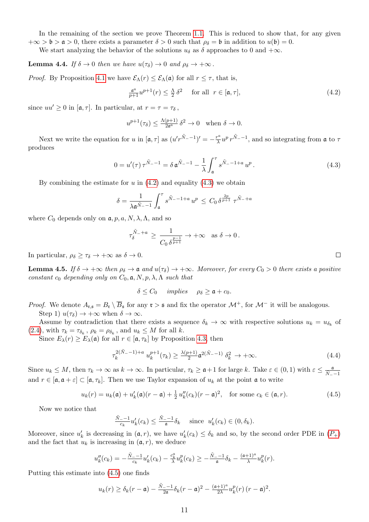In the remaining of the section we prove Theorem [1.1.](#page-1-0) This is reduced to show that, for any given  $+\infty > \mathfrak{b} > \mathfrak{a} > 0$ , there exists a parameter  $\delta > 0$  such that  $\rho_{\delta} = \mathfrak{b}$  in addition to  $u(\mathfrak{b}) = 0$ .

We start analyzing the behavior of the solutions  $u_{\delta}$  as  $\delta$  approaches to 0 and  $+\infty$ .

<span id="page-10-4"></span>**Lemma 4.4.** If  $\delta \to 0$  then we have  $u(\tau_{\delta}) \to 0$  and  $\rho_{\delta} \to +\infty$ .

*Proof.* By Proposition [4.1](#page-8-3) we have  $\mathcal{E}_{\Lambda}(r) \leq \mathcal{E}_{\Lambda}(\mathfrak{a})$  for all  $r \leq \tau$ , that is,

<span id="page-10-0"></span>
$$
\frac{\mathfrak{a}^a}{p+1}u^{p+1}(r) \le \frac{\Lambda}{2}\delta^2 \quad \text{for all } r \in [\mathfrak{a}, \tau], \tag{4.2}
$$

since  $uu' \geq 0$  in  $[\mathfrak{a}, \tau]$ . In particular, at  $r = \tau = \tau_{\delta}$ ,

$$
u^{p+1}(\tau_{\delta}) \le \frac{\Lambda(p+1)}{2\mathfrak{a}^a} \,\delta^2 \to 0 \quad \text{when } \delta \to 0.
$$

Next we write the equation for u in  $[\mathfrak{a}, \tau]$  as  $(u^r \tilde{N}_-1)^r = -\frac{r^a}{\lambda}$  $\frac{r^a}{\lambda} u^p r^{\tilde{N}_- - 1}$ , and so integrating from  $\mathfrak a$  to  $\tau$ produces

$$
0 = u'(\tau) \tau^{\tilde{N}_- - 1} = \delta \mathfrak{a}^{\tilde{N}_- - 1} - \frac{1}{\lambda} \int_{\mathfrak{a}}^{\tau} s^{\tilde{N}_- - 1 + a} u^p.
$$
 (4.3)

By combining the estimate for  $u$  in  $(4.2)$  and equality  $(4.3)$  we obtain

$$
\delta = \frac{1}{\lambda \mathfrak{a}^{\tilde{N}_--1}} \int_{\mathfrak{a}}^{\tau} s^{\tilde{N}_--1+a} u^p \leq C_0 \, \delta^{\frac{2p}{p+1}} \, \tau^{\tilde{N}_--1a}
$$

where  $C_0$  depends only on  $a, p, a, N, \lambda, \Lambda$ , and so

$$
\tau_\delta^{\tilde N_-+a}\,\geq\,\frac{1}{C_0\,\delta^{\frac{p-1}{p+1}}}\to+\infty\quad\text{as }\delta\to0\,.
$$

In particular,  $\rho_{\delta} \geq \tau_{\delta} \to +\infty$  as  $\delta \to 0$ .

<span id="page-10-3"></span>**Lemma 4.5.** If  $\delta \to +\infty$  then  $\rho_{\delta} \to \mathfrak{a}$  and  $u(\tau_{\delta}) \to +\infty$ . Moreover, for every  $C_0 > 0$  there exists a positive constant  $c_0$  depending only on  $C_0$ ,  $\mathfrak{a}, N, p, \lambda, \Lambda$  such that

$$
\delta \leq C_0 \quad implies \quad \rho_\delta \geq \mathfrak{a} + c_0.
$$

*Proof.* We denote  $A_{\mathfrak{r},\mathfrak{s}} = B_{\mathfrak{r}} \setminus \overline{B}_{\mathfrak{s}}$  for any  $\mathfrak{r} > \mathfrak{s}$  and fix the operator  $\mathcal{M}^+$ , for  $\mathcal{M}^-$  it will be analogous. Step 1)  $u(\tau_{\delta}) \rightarrow +\infty$  when  $\delta \rightarrow \infty$ .

Assume by contradiction that there exists a sequence  $\delta_k \to \infty$  with respective solutions  $u_k = u_{\delta_k}$  of [\(2.4\)](#page-2-1), with  $\tau_k = \tau_{\delta_k}$ ,  $\rho_k = \rho_{\delta_k}$ , and  $u_k \leq M$  for all k.

Since  $E_{\lambda}(r) \geq E_{\lambda}(\mathfrak{a})$  for all  $r \in [\mathfrak{a}, \tau_k]$  by Proposition [4.3,](#page-9-0) then

$$
\tau_k^{2(\tilde{N}_- - 1) + a} u_k^{p+1}(\tau_k) \ge \frac{\lambda(p+1)}{2} \mathfrak{a}^{2(\tilde{N}_- - 1)} \delta_k^2 \to +\infty.
$$
 (4.4)

Since  $u_k \leq M$ , then  $\tau_k \to \infty$  as  $k \to \infty$ . In particular,  $\tau_k \geq \mathfrak{a}+1$  for large k. Take  $\varepsilon \in (0,1)$  with  $\varepsilon \leq \frac{\mathfrak{a}}{\tilde{N}_--1}$ and  $r \in [\mathfrak{a}, \mathfrak{a} + \varepsilon] \subset [\mathfrak{a}, \tau_k]$ . Then we use Taylor expansion of  $u_k$  at the point  $\mathfrak{a}$  to write

 $u_k(r) = u_k(\mathfrak{a}) + u'_k(\mathfrak{a})(r - \mathfrak{a}) + \frac{1}{2}u''_k(c_k)(r - \mathfrak{a})^2$ , for some  $c_k \in (\mathfrak{a}, r)$ . (4.5)

Now we notice that

$$
\frac{\tilde{N}_{-}-1}{c_k}u'_k(c_k) \le \frac{\tilde{N}_{-}-1}{\mathfrak{a}}\delta_k \quad \text{ since } u'_k(c_k) \in (0,\delta_k).
$$

Moreover, since  $u'_k$  is decreasing in  $(a, r)$ , we have  $u'_k(c_k) \leq \delta_k$  and so, by the second order [P](#page-1-3)DE in  $(P_+)$ and the fact that  $u_k$  is increasing in  $(\mathfrak{a}, r)$ , we deduce

$$
u''_k(c_k) = -\frac{\tilde{N}_{-}-1}{c_k}u'_k(c_k) - \frac{c_k^a}{\lambda}u_k^p(c_k) \geq -\frac{\tilde{N}_{-}-1}{a}\delta_k - \frac{(a+1)^a}{\lambda}u_k^p(r).
$$

Putting this estimate into [\(4.5\)](#page-10-2) one finds

$$
u_k(r) \geq \delta_k(r-\mathfrak{a}) - \frac{\tilde{N}_{-}-1}{2\mathfrak{a}} \delta_k(r-\mathfrak{a})^2 - \frac{(\mathfrak{a}+1)^a}{2\lambda} u_k^p(r) (r-\mathfrak{a})^2.
$$

<span id="page-10-2"></span><span id="page-10-1"></span> $\Box$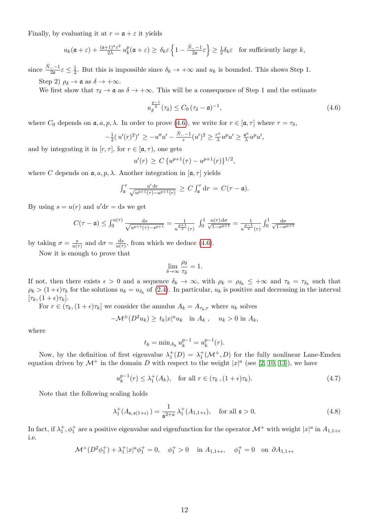Finally, by evaluating it at  $r = \mathfrak{a} + \varepsilon$  it yields

$$
u_k(\mathfrak{a}+\varepsilon)+\frac{(\mathfrak{a}+1)^a \varepsilon^2}{2\lambda} u_k^p(\mathfrak{a}+\varepsilon) \ge \delta_k \varepsilon \left\{1-\frac{\tilde{N}_--1}{2\mathfrak{a}}\varepsilon\right\} \ge \frac{1}{2}\delta_k \varepsilon \quad \text{for sufficiently large } k,
$$

since  $\frac{\tilde{N}_--1}{2a}\varepsilon \leq \frac{1}{2}$  $\frac{1}{2}$ . But this is impossible since  $\delta_k \to +\infty$  and  $u_k$  is bounded. This shows Step 1. Step 2)  $\rho_{\delta} \rightarrow \mathfrak{a}$  as  $\delta \rightarrow +\infty$ .

We first show that  $\tau_{\delta} \to \mathfrak{a}$  as  $\delta \to +\infty$ . This will be a consequence of Step 1 and the estimate

<span id="page-11-0"></span>
$$
u_{\delta}^{\frac{p-1}{2}}(\tau_{\delta}) \leq C_0 \left(\tau_{\delta} - \mathfrak{a}\right)^{-1},\tag{4.6}
$$

where  $C_0$  depends on  $\mathfrak{a}, a, p, \lambda$ . In order to prove [\(4.6\)](#page-11-0), we write for  $r \in [\mathfrak{a}, \tau]$  where  $\tau = \tau_{\delta}$ ,

$$
-\frac{1}{2}(u'(r)^{2})' \ge -u''u' - \frac{\tilde{N}_{-}-1}{r}(u')^{2} \ge \frac{r^{a}}{\lambda}u^{p}u' \ge \frac{a^{a}}{\lambda}u^{p}u',
$$

and by integrating it in  $[r, \tau]$ , for  $r \in [a, \tau)$ , one gets

$$
u'(r) \ge C \{ u^{p+1}(\tau) - u^{p+1}(r) \}^{1/2},
$$

where C depends on  $a, a, p, \lambda$ . Another integration in  $[a, \tau]$  yields

$$
\int_{\mathfrak{a}}^{\tau} \frac{u' dr}{\sqrt{u^{p+1}(\tau) - u^{p+1}(r)}} \geq C \int_{\mathfrak{a}}^{\tau} dr = C(\tau - \mathfrak{a}).
$$

By using  $s = u(r)$  and  $u'dr = ds$  we get

$$
C(\tau - \mathfrak{a}) \leq \int_0^{u(\tau)} \frac{ds}{\sqrt{u^{p+1}(\tau) - s^{p+1}}} = \frac{1}{u^{\frac{p+1}{2}}(\tau)} \int_0^1 \frac{u(\tau) d\sigma}{\sqrt{1 - \sigma^{p+1}}} = \frac{1}{u^{\frac{p-1}{2}}(\tau)} \int_0^1 \frac{d\sigma}{\sqrt{1 - \sigma^{p+1}}}
$$

by taking  $\sigma = \frac{s}{u(s)}$  $\frac{s}{u(\tau)}$  and  $d\sigma = \frac{ds}{u(\tau)}$  $\frac{ds}{u(\tau)}$ , from which we deduce [\(4.6\)](#page-11-0).

Now it is enough to prove that

$$
\lim_{\delta \to \infty} \frac{\rho_{\delta}}{\tau_{\delta}} = 1.
$$

If not, then there exists  $\epsilon > 0$  and a sequence  $\delta_k \to \infty$ , with  $\rho_k = \rho_{\delta_k} \leq +\infty$  and  $\tau_k = \tau_{\delta_k}$  such that  $\rho_k > (1+\epsilon)\tau_k$  for the solutions  $u_k = u_{\delta_k}$  of [\(2.4\)](#page-2-1). In particular,  $u_k$  is positive and decreasing in the interval  $[\tau_k,(1+\epsilon)\tau_k].$ 

For  $r \in (\tau_k, (1+\epsilon)\tau_k]$  we consider the annulus  $A_k = A_{\tau_k,r}$  where  $u_k$  solves

$$
-\mathcal{M}^{\pm}(D^2u_k) \ge t_k|x|^a u_k \quad \text{in } A_k , \quad u_k > 0 \text{ in } A_k,
$$

where

<span id="page-11-2"></span><span id="page-11-1"></span>
$$
t_k = \min_{A_k} u_k^{p-1} = u_k^{p-1}(r).
$$

Now, by the definition of first eigenvalue  $\lambda_1^+(D) = \lambda_1^+(\mathcal{M}^+, D)$  for the fully nonlinear Lane-Emden equation driven by  $\mathcal{M}^+$  in the domain D with respect to the weight  $|x|^a$  (see [\[2,](#page-13-10) [10,](#page-13-11) [13\]](#page-13-12)), we have

$$
u_k^{p-1}(r) \le \lambda_1^+(A_k), \quad \text{for all } r \in (\tau_k, (1+\epsilon)\tau_k). \tag{4.7}
$$

Note that the following scaling holds

$$
\lambda_1^+(A_{\mathfrak{s},\mathfrak{s}(1+\epsilon)}) = \frac{1}{\mathfrak{s}^{2+a}} \lambda_1^+(A_{1,1+\epsilon}), \quad \text{for all } \mathfrak{s} > 0.
$$
 (4.8)

In fact, if  $\lambda_1^+$ ,  $\phi_1^+$  are a positive eigenvalue and eigenfunction for the operator  $\mathcal{M}^+$  with weight  $|x|^a$  in  $A_{1,1+\epsilon}$ i.e.

$$
\mathcal{M}^+(D^2\phi_1^+) + \lambda_1^+ |x|^a \phi_1^+ = 0, \quad \phi_1^+ > 0 \quad \text{in } A_{1,1+\epsilon}, \quad \phi_1^+ = 0 \quad \text{on } \partial A_{1,1+\epsilon}
$$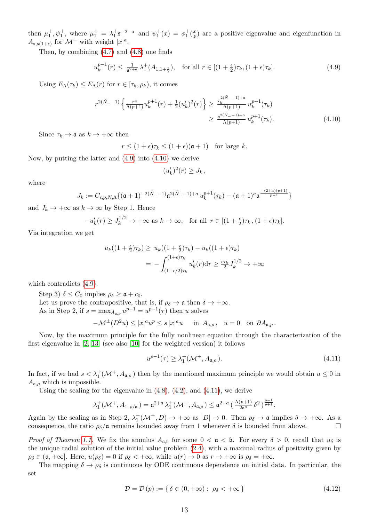then  $\mu_1^+, \psi_1^+$ , where  $\mu_1^+ = \lambda_1^+ \mathfrak{s}^{-2-\mathfrak{a}}$  and  $\psi_1^+(x) = \phi_1^+ (\frac{x}{\mathfrak{s}})$  $\frac{x}{s}$ ) are a positive eigenvalue and eigenfunction in  $A_{\mathfrak{s},\mathfrak{s}(1+\epsilon)}$  for  $\mathcal{M}^+$  with weight  $|x|^a$ .

Then, by combining [\(4.7\)](#page-11-1) and [\(4.8\)](#page-11-2) one finds

$$
u_k^{p-1}(r) \le \frac{1}{\mathfrak{a}^{2+a}} \lambda_1^+(A_{1,1+\frac{\epsilon}{2}}), \quad \text{for all } r \in [(1+\frac{\epsilon}{2})\tau_k, (1+\epsilon)\tau_k]. \tag{4.9}
$$

Using  $E_{\Lambda}(\tau_k) \leq E_{\Lambda}(r)$  for  $r \in [\tau_k, \rho_k)$ , it comes

$$
r^{2(\tilde{N}_{-}-1)}\left\{\frac{r^{a}}{\Lambda(p+1)}u_{k}^{p+1}(r)+\frac{1}{2}(u'_{k})^{2}(r)\right\} \geq \frac{\tau_{k}^{2(\tilde{N}_{-}-1)+a}}{\Lambda(p+1)}u_{k}^{p+1}(\tau_{k})
$$

$$
\geq \frac{a^{2(\tilde{N}_{-}-1)+a}}{\Lambda(p+1)}u_{k}^{p+1}(\tau_{k}). \tag{4.10}
$$

Since  $\tau_k \to \mathfrak{a}$  as  $k \to +\infty$  then

 $r \leq (1+\epsilon)\tau_k \leq (1+\epsilon)(\mathfrak{a}+1)$  for large k.

Now, by putting the latter and [\(4.9\)](#page-12-0) into [\(4.10\)](#page-12-1) we derive

<span id="page-12-1"></span><span id="page-12-0"></span>
$$
(u'_k)^2(r) \geq J_k,
$$

where

$$
J_k := C_{\epsilon, p, N, \Lambda} \{ (\mathfrak{a} + 1)^{-2(\tilde{N}_- - 1)} \mathfrak{a}^{2(\tilde{N}_- - 1) + a} u_k^{p+1}(\tau_k) - (\mathfrak{a} + 1)^a \mathfrak{a}^{\frac{-(2+a)(p+1)}{p-1}} \}
$$

and  $J_k \to +\infty$  as  $k \to \infty$  by Step 1. Hence

$$
-u'_{k}(r) \ge J_{k}^{1/2} \to +\infty \text{ as } k \to \infty, \text{ for all } r \in [(1+\frac{\epsilon}{2})\tau_{k}, (1+\epsilon)\tau_{k}].
$$

Via integration we get

$$
u_k((1+\frac{\epsilon}{2})\tau_k) \ge u_k((1+\frac{\epsilon}{2})\tau_k) - u_k((1+\epsilon)\tau_k)
$$
  
= 
$$
-\int_{(1+\epsilon/2)\tau_k}^{(1+\epsilon)\tau_k} u'_k(r) dr \ge \frac{\epsilon \tau_k}{2} J_k^{1/2} \to +\infty
$$

which contradicts [\(4.9\)](#page-12-0).

Step 3)  $\delta \leq C_0$  implies  $\rho_{\delta} \geq \mathfrak{a} + c_0$ . Let us prove the contrapositive, that is, if  $\rho_{\delta} \to \mathfrak{a}$  then  $\delta \to +\infty$ . As in Step 2, if  $s = \max_{A_{a,\rho}} u^{p-1} = u^{p-1}(\tau)$  then u solves

$$
-\mathcal{M}^{\pm}(D^2u) \le |x|^a u^p \le s |x|^a u \quad \text{in } A_{\mathfrak{a},\rho}, \quad u = 0 \quad \text{on } \partial A_{\mathfrak{a},\rho}.
$$

Now, by the maximum principle for the fully nonlinear equation through the characterization of the first eigenvalue in [\[2,](#page-13-10) [13\]](#page-13-12) (see also [\[10\]](#page-13-11) for the weighted version) it follows

<span id="page-12-2"></span>
$$
u^{p-1}(\tau) \ge \lambda_1^+(\mathcal{M}^+, A_{\mathfrak{a}, \rho}). \tag{4.11}
$$

In fact, if we had  $s < \lambda_1^+ (\mathcal{M}^+, A_{\mathfrak{a},\rho})$  then by the mentioned maximum principle we would obtain  $u \leq 0$  in  $A_{\mathfrak{a},\rho}$  which is impossible.

Using the scaling for the eigenvalue in  $(4.8)$ ,  $(4.2)$ , and  $(4.11)$ , we derive

$$
\lambda_1^+(\mathcal{M}^+,A_{1,\rho/\mathfrak{a}})=\mathfrak{a}^{2+a}\,\lambda_1^+(\mathcal{M}^+,A_{\mathfrak{a},\rho})\leq \mathfrak{a}^{2+a}\left(\frac{\Lambda(p+1)}{2\mathfrak{a}^a}\,\delta^2\right)^{\frac{p-1}{p+1}}.
$$

Again by the scaling as in Step 2,  $\lambda_1^+(\mathcal{M}^+, D) \to +\infty$  as  $|D| \to 0$ . Then  $\rho_\delta \to \mathfrak{a}$  implies  $\delta \to +\infty$ . As a consequence, the ratio  $\rho_{\delta}/\mathfrak{a}$  remains bounded away from 1 whenever  $\delta$  is bounded from above.  $\Box$ 

*Proof of Theorem [1.1.](#page-1-0)* We fix the annulus  $A_{\mathfrak{a},\mathfrak{b}}$  for some  $0 < \mathfrak{a} < \mathfrak{b}$ . For every  $\delta > 0$ , recall that  $u_{\delta}$  is the unique radial solution of the initial value problem [\(2.4\)](#page-2-1), with a maximal radius of positivity given by  $\rho_{\delta} \in (\mathfrak{a}, +\infty]$ . Here,  $u(\rho_{\delta}) = 0$  if  $\rho_{\delta} < +\infty$ , while  $u(r) \to 0$  as  $r \to +\infty$  is  $\rho_{\delta} = +\infty$ .

The mapping  $\delta \to \rho_{\delta}$  is continuous by ODE continuous dependence on initial data. In particular, the set

$$
\mathcal{D} = \mathcal{D}(p) := \{ \delta \in (0, +\infty) : \ \rho_{\delta} < +\infty \} \tag{4.12}
$$